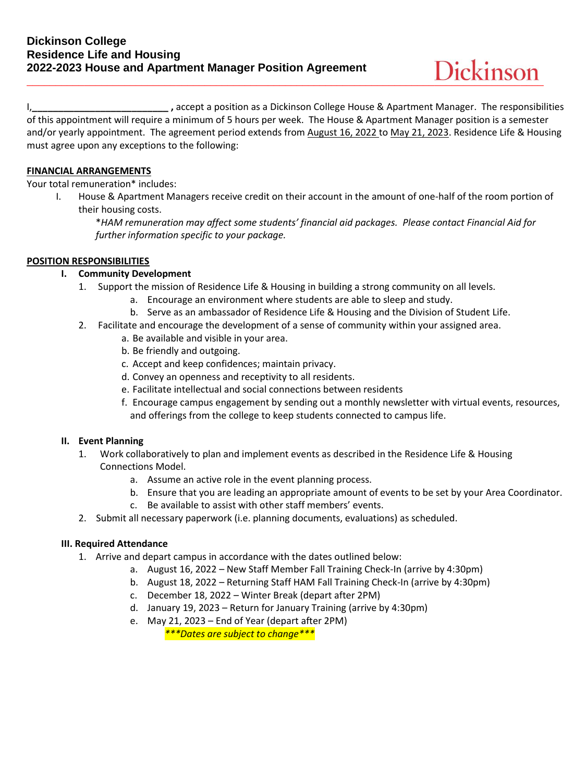I,**\_\_\_\_\_\_\_\_\_\_\_\_\_\_\_\_\_\_\_\_\_\_\_\_\_\_ ,** accept a position as a Dickinson College House & Apartment Manager. The responsibilities of this appointment will require a minimum of 5 hours per week. The House & Apartment Manager position is a semester and/or yearly appointment. The agreement period extends from August 16, 2022 to May 21, 2023. Residence Life & Housing must agree upon any exceptions to the following:

# **FINANCIAL ARRANGEMENTS**

Your total remuneration\* includes:

I. House & Apartment Managers receive credit on their account in the amount of one-half of the room portion of their housing costs.

\**HAM remuneration may affect some students' financial aid packages. Please contact Financial Aid for further information specific to your package.*

# **POSITION RESPONSIBILITIES**

# **I. Community Development**

- 1. Support the mission of Residence Life & Housing in building a strong community on all levels.
	- a. Encourage an environment where students are able to sleep and study.
	- b. Serve as an ambassador of Residence Life & Housing and the Division of Student Life.
- 2. Facilitate and encourage the development of a sense of community within your assigned area.
	- a. Be available and visible in your area.
	- b. Be friendly and outgoing.
	- c. Accept and keep confidences; maintain privacy.
	- d. Convey an openness and receptivity to all residents.
	- e. Facilitate intellectual and social connections between residents
	- f. Encourage campus engagement by sending out a monthly newsletter with virtual events, resources, and offerings from the college to keep students connected to campus life.

#### **II. Event Planning**

- 1. Work collaboratively to plan and implement events as described in the Residence Life & Housing Connections Model.
	- a. Assume an active role in the event planning process.
	- b. Ensure that you are leading an appropriate amount of events to be set by your Area Coordinator.
	- c. Be available to assist with other staff members' events.
- 2. Submit all necessary paperwork (i.e. planning documents, evaluations) as scheduled.

#### **III. Required Attendance**

- 1. Arrive and depart campus in accordance with the dates outlined below:
	- a. August 16, 2022 New Staff Member Fall Training Check-In (arrive by 4:30pm)
	- b. August 18, 2022 Returning Staff HAM Fall Training Check-In (arrive by 4:30pm)
	- c. December 18, 2022 Winter Break (depart after 2PM)
	- d. January 19, 2023 Return for January Training (arrive by 4:30pm)
	- e. May 21, 2023 End of Year (depart after 2PM) *\*\*\*Dates are subject to change\*\*\**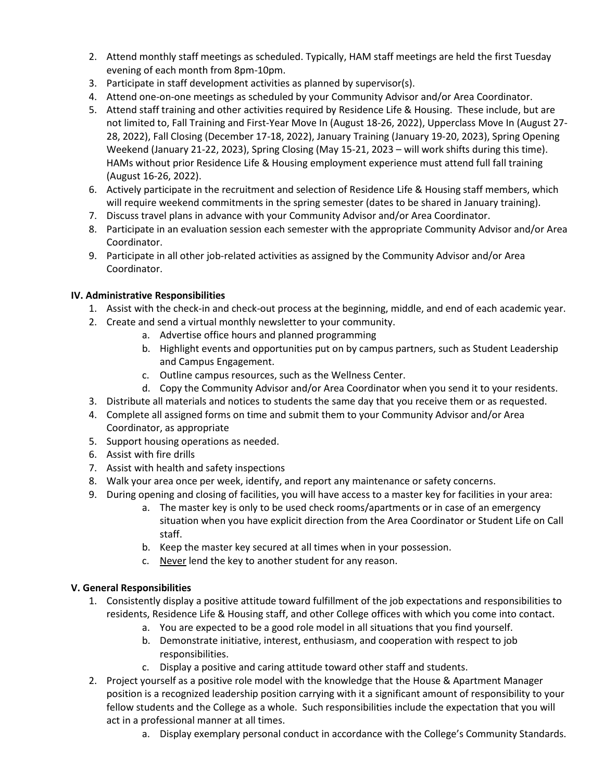- 2. Attend monthly staff meetings as scheduled. Typically, HAM staff meetings are held the first Tuesday evening of each month from 8pm-10pm.
- 3. Participate in staff development activities as planned by supervisor(s).
- 4. Attend one-on-one meetings as scheduled by your Community Advisor and/or Area Coordinator.
- 5. Attend staff training and other activities required by Residence Life & Housing. These include, but are not limited to, Fall Training and First-Year Move In (August 18-26, 2022), Upperclass Move In (August 27- 28, 2022), Fall Closing (December 17-18, 2022), January Training (January 19-20, 2023), Spring Opening Weekend (January 21-22, 2023), Spring Closing (May 15-21, 2023 – will work shifts during this time). HAMs without prior Residence Life & Housing employment experience must attend full fall training (August 16-26, 2022).
- 6. Actively participate in the recruitment and selection of Residence Life & Housing staff members, which will require weekend commitments in the spring semester (dates to be shared in January training).
- 7. Discuss travel plans in advance with your Community Advisor and/or Area Coordinator.
- 8. Participate in an evaluation session each semester with the appropriate Community Advisor and/or Area Coordinator.
- 9. Participate in all other job-related activities as assigned by the Community Advisor and/or Area Coordinator.

# **IV. Administrative Responsibilities**

- 1. Assist with the check-in and check-out process at the beginning, middle, and end of each academic year.
- 2. Create and send a virtual monthly newsletter to your community.
	- a. Advertise office hours and planned programming
	- b. Highlight events and opportunities put on by campus partners, such as Student Leadership and Campus Engagement.
	- c. Outline campus resources, such as the Wellness Center.
	- d. Copy the Community Advisor and/or Area Coordinator when you send it to your residents.
- 3. Distribute all materials and notices to students the same day that you receive them or as requested.
- 4. Complete all assigned forms on time and submit them to your Community Advisor and/or Area Coordinator, as appropriate
- 5. Support housing operations as needed.
- 6. Assist with fire drills
- 7. Assist with health and safety inspections
- 8. Walk your area once per week, identify, and report any maintenance or safety concerns.
- 9. During opening and closing of facilities, you will have access to a master key for facilities in your area:
	- a. The master key is only to be used check rooms/apartments or in case of an emergency situation when you have explicit direction from the Area Coordinator or Student Life on Call staff.
	- b. Keep the master key secured at all times when in your possession.
	- c. Never lend the key to another student for any reason.

# **V. General Responsibilities**

- 1. Consistently display a positive attitude toward fulfillment of the job expectations and responsibilities to residents, Residence Life & Housing staff, and other College offices with which you come into contact.
	- a. You are expected to be a good role model in all situations that you find yourself.
	- b. Demonstrate initiative, interest, enthusiasm, and cooperation with respect to job responsibilities.
	- c. Display a positive and caring attitude toward other staff and students.
- 2. Project yourself as a positive role model with the knowledge that the House & Apartment Manager position is a recognized leadership position carrying with it a significant amount of responsibility to your fellow students and the College as a whole. Such responsibilities include the expectation that you will act in a professional manner at all times.
	- a. Display exemplary personal conduct in accordance with the College's Community Standards.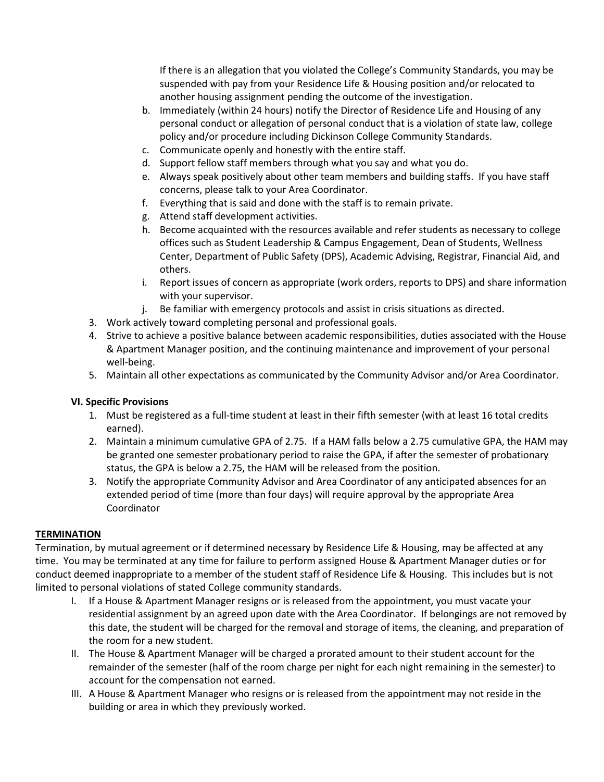If there is an allegation that you violated the College's Community Standards, you may be suspended with pay from your Residence Life & Housing position and/or relocated to another housing assignment pending the outcome of the investigation.

- b. Immediately (within 24 hours) notify the Director of Residence Life and Housing of any personal conduct or allegation of personal conduct that is a violation of state law, college policy and/or procedure including Dickinson College Community Standards.
- c. Communicate openly and honestly with the entire staff.
- d. Support fellow staff members through what you say and what you do.
- e. Always speak positively about other team members and building staffs. If you have staff concerns, please talk to your Area Coordinator.
- f. Everything that is said and done with the staff is to remain private.
- g. Attend staff development activities.
- h. Become acquainted with the resources available and refer students as necessary to college offices such as Student Leadership & Campus Engagement, Dean of Students, Wellness Center, Department of Public Safety (DPS), Academic Advising, Registrar, Financial Aid, and others.
- i. Report issues of concern as appropriate (work orders, reports to DPS) and share information with your supervisor.
- j. Be familiar with emergency protocols and assist in crisis situations as directed.
- 3. Work actively toward completing personal and professional goals.
- 4. Strive to achieve a positive balance between academic responsibilities, duties associated with the House & Apartment Manager position, and the continuing maintenance and improvement of your personal well-being.
- 5. Maintain all other expectations as communicated by the Community Advisor and/or Area Coordinator.

# **VI. Specific Provisions**

- 1. Must be registered as a full-time student at least in their fifth semester (with at least 16 total credits earned).
- 2. Maintain a minimum cumulative GPA of 2.75. If a HAM falls below a 2.75 cumulative GPA, the HAM may be granted one semester probationary period to raise the GPA, if after the semester of probationary status, the GPA is below a 2.75, the HAM will be released from the position.
- 3. Notify the appropriate Community Advisor and Area Coordinator of any anticipated absences for an extended period of time (more than four days) will require approval by the appropriate Area Coordinator

# **TERMINATION**

Termination, by mutual agreement or if determined necessary by Residence Life & Housing, may be affected at any time. You may be terminated at any time for failure to perform assigned House & Apartment Manager duties or for conduct deemed inappropriate to a member of the student staff of Residence Life & Housing. This includes but is not limited to personal violations of stated College community standards.

- I. If a House & Apartment Manager resigns or is released from the appointment, you must vacate your residential assignment by an agreed upon date with the Area Coordinator. If belongings are not removed by this date, the student will be charged for the removal and storage of items, the cleaning, and preparation of the room for a new student.
- II. The House & Apartment Manager will be charged a prorated amount to their student account for the remainder of the semester (half of the room charge per night for each night remaining in the semester) to account for the compensation not earned.
- III. A House & Apartment Manager who resigns or is released from the appointment may not reside in the building or area in which they previously worked.